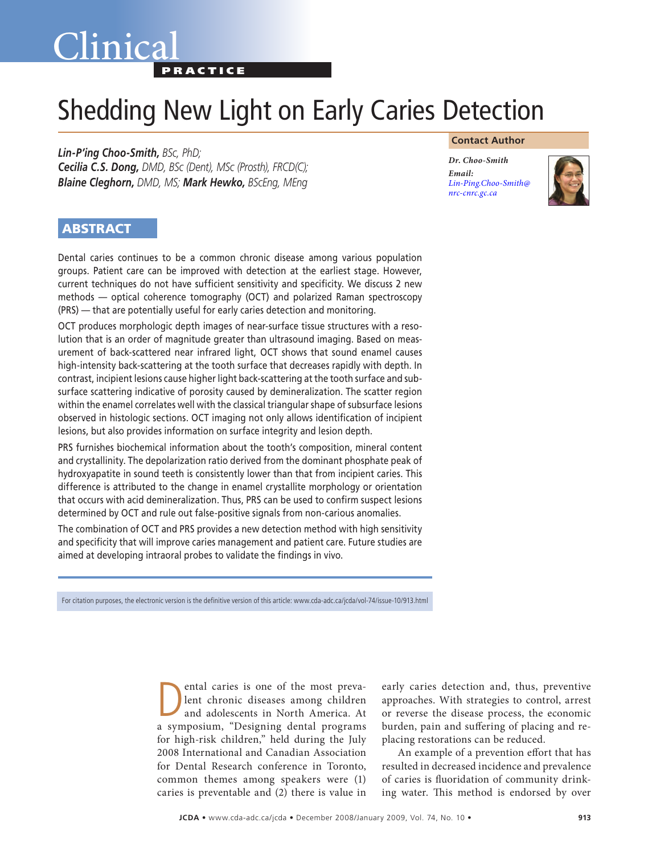## Clinica **PRACTICE**

# Shedding New Light on Early Caries Detection

*Lin-P'ing Choo-Smith, BSc, PhD; Cecilia C.S. Dong, DMD, BSc (Dent), MSc (Prosth), FRCD(C); Blaine Cleghorn, DMD, MS; Mark Hewko, BScEng, MEng*

#### **Contact Author**

*Dr. Choo-Smith Email: [Lin-Ping.Choo-Smith@](mailto:Lin-Ping.Choo-Smith@nrc-cnrc.gc.ca) nrc-cnrc.gc.ca*



### **ABSTRACT**

Dental caries continues to be a common chronic disease among various population groups. Patient care can be improved with detection at the earliest stage. However, current techniques do not have sufficient sensitivity and specificity. We discuss 2 new methods — optical coherence tomography (OCT) and polarized Raman spectroscopy (PRS) — that are potentially useful for early caries detection and monitoring.

OCT produces morphologic depth images of near-surface tissue structures with a resolution that is an order of magnitude greater than ultrasound imaging. Based on measurement of back-scattered near infrared light, OCT shows that sound enamel causes high-intensity back-scattering at the tooth surface that decreases rapidly with depth. In contrast, incipient lesions cause higher light back-scattering at the tooth surface and subsurface scattering indicative of porosity caused by demineralization. The scatter region within the enamel correlates well with the classical triangular shape of subsurface lesions observed in histologic sections. OCT imaging not only allows identification of incipient lesions, but also provides information on surface integrity and lesion depth.

PRS furnishes biochemical information about the tooth's composition, mineral content and crystallinity. The depolarization ratio derived from the dominant phosphate peak of hydroxyapatite in sound teeth is consistently lower than that from incipient caries. This difference is attributed to the change in enamel crystallite morphology or orientation that occurs with acid demineralization. Thus, PRS can be used to confirm suspect lesions determined by OCT and rule out false-positive signals from non-carious anomalies.

The combination of OCT and PRS provides a new detection method with high sensitivity and specificity that will improve caries management and patient care. Future studies are aimed at developing intraoral probes to validate the findings in vivo.

For citation purposes, the electronic version is the definitive version of this article: www.cda-adc.ca/jcda/vol-74/issue-10/913.html

ental caries is one of the most preva-<br>lent chronic diseases among children<br>and adolescents in North America. At lent chronic diseases among children and adolescents in North America. At a symposium, "Designing dental programs for high-risk children," held during the July 2008 International and Canadian Association for Dental Research conference in Toronto, common themes among speakers were (1) caries is preventable and (2) there is value in

early caries detection and, thus, preventive approaches. With strategies to control, arrest or reverse the disease process, the economic burden, pain and suffering of placing and replacing restorations can be reduced.

An example of a prevention effort that has resulted in decreased incidence and prevalence of caries is fluoridation of community drinking water. This method is endorsed by over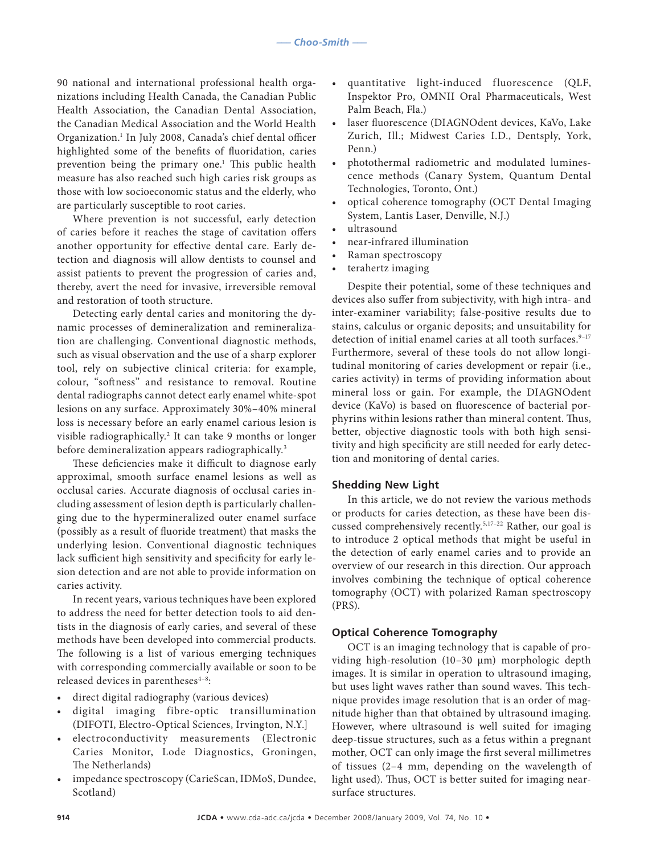90 national and international professional health organizations including Health Canada, the Canadian Public Health Association, the Canadian Dental Association, the Canadian Medical Association and the World Health Organization.<sup>1</sup> In July 2008, Canada's chief dental officer highlighted some of the benefits of fluoridation, caries prevention being the primary one.<sup>1</sup> This public health measure has also reached such high caries risk groups as those with low socioeconomic status and the elderly, who are particularly susceptible to root caries.

Where prevention is not successful, early detection of caries before it reaches the stage of cavitation offers another opportunity for effective dental care. Early detection and diagnosis will allow dentists to counsel and assist patients to prevent the progression of caries and, thereby, avert the need for invasive, irreversible removal and restoration of tooth structure.

Detecting early dental caries and monitoring the dynamic processes of demineralization and remineralization are challenging. Conventional diagnostic methods, such as visual observation and the use of a sharp explorer tool, rely on subjective clinical criteria: for example, colour, "softness" and resistance to removal. Routine dental radiographs cannot detect early enamel white-spot lesions on any surface. Approximately 30%–40% mineral loss is necessary before an early enamel carious lesion is visible radiographically.2 It can take 9 months or longer before demineralization appears radiographically.<sup>3</sup>

These deficiencies make it difficult to diagnose early approximal, smooth surface enamel lesions as well as occlusal caries. Accurate diagnosis of occlusal caries including assessment of lesion depth is particularly challenging due to the hypermineralized outer enamel surface (possibly as a result of fluoride treatment) that masks the underlying lesion. Conventional diagnostic techniques lack sufficient high sensitivity and specificity for early lesion detection and are not able to provide information on caries activity.

In recent years, various techniques have been explored to address the need for better detection tools to aid dentists in the diagnosis of early caries, and several of these methods have been developed into commercial products. The following is a list of various emerging techniques with corresponding commercially available or soon to be released devices in parentheses<sup>4-8</sup>:

- direct digital radiography (various devices)
- digital imaging fibre-optic transillumination (DIFOTI, Electro-Optical Sciences, Irvington, N.Y.]
- electroconductivity measurements (Electronic Caries Monitor, Lode Diagnostics, Groningen, The Netherlands)
- impedance spectroscopy (CarieScan, IDMoS, Dundee, Scotland)
- quantitative light-induced fluorescence (QLF, Inspektor Pro, OMNII Oral Pharmaceuticals, West Palm Beach, Fla.)
- laser fluorescence (DIAGNOdent devices, KaVo, Lake Zurich, Ill.; Midwest Caries I.D., Dentsply, York, Penn.)
- photothermal radiometric and modulated luminescence methods (Canary System, Quantum Dental Technologies, Toronto, Ont.)
- optical coherence tomography (OCT Dental Imaging System, Lantis Laser, Denville, N.J.)
- ultrasound
- near-infrared illumination
- Raman spectroscopy
- terahertz imaging

Despite their potential, some of these techniques and devices also suffer from subjectivity, with high intra- and inter-examiner variability; false-positive results due to stains, calculus or organic deposits; and unsuitability for detection of initial enamel caries at all tooth surfaces.<sup>9-17</sup> Furthermore, several of these tools do not allow longitudinal monitoring of caries development or repair (i.e., caries activity) in terms of providing information about mineral loss or gain. For example, the DIAGNOdent device (KaVo) is based on fluorescence of bacterial porphyrins within lesions rather than mineral content. Thus, better, objective diagnostic tools with both high sensitivity and high specificity are still needed for early detection and monitoring of dental caries.

#### **Shedding New Light**

In this article, we do not review the various methods or products for caries detection, as these have been discussed comprehensively recently.5,17–22 Rather, our goal is to introduce 2 optical methods that might be useful in the detection of early enamel caries and to provide an overview of our research in this direction. Our approach involves combining the technique of optical coherence tomography (OCT) with polarized Raman spectroscopy (PRS).

#### **Optical Coherence Tomography**

OCT is an imaging technology that is capable of providing high-resolution (10–30 µm) morphologic depth images. It is similar in operation to ultrasound imaging, but uses light waves rather than sound waves. This technique provides image resolution that is an order of magnitude higher than that obtained by ultrasound imaging. However, where ultrasound is well suited for imaging deep-tissue structures, such as a fetus within a pregnant mother, OCT can only image the first several millimetres of tissues (2–4 mm, depending on the wavelength of light used). Thus, OCT is better suited for imaging nearsurface structures.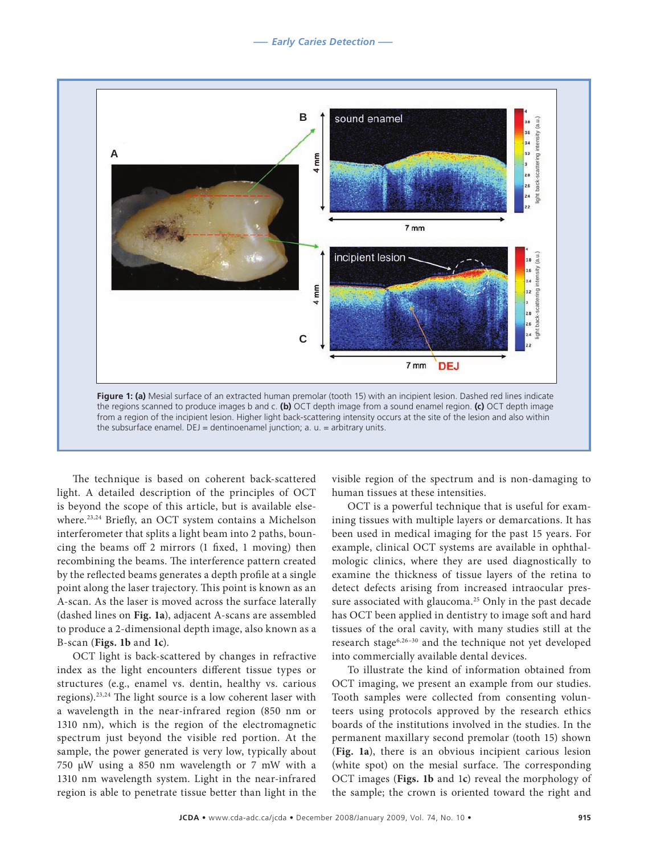

The technique is based on coherent back-scattered light. A detailed description of the principles of OCT is beyond the scope of this article, but is available elsewhere.23,24 Briefly, an OCT system contains a Michelson interferometer that splits a light beam into 2 paths, bouncing the beams off 2 mirrors (1 fixed, 1 moving) then recombining the beams. The interference pattern created by the reflected beams generates a depth profile at a single point along the laser trajectory. This point is known as an A-scan. As the laser is moved across the surface laterally (dashed lines on **Fig. 1a**), adjacent A-scans are assembled to produce a 2-dimensional depth image, also known as a B-scan (**Figs. 1b** and **1c**).

OCT light is back-scattered by changes in refractive index as the light encounters different tissue types or structures (e.g., enamel vs. dentin, healthy vs. carious regions).23,24 The light source is a low coherent laser with a wavelength in the near-infrared region (850 nm or 1310 nm), which is the region of the electromagnetic spectrum just beyond the visible red portion. At the sample, the power generated is very low, typically about 750 µW using a 850 nm wavelength or 7 mW with a 1310 nm wavelength system. Light in the near-infrared region is able to penetrate tissue better than light in the visible region of the spectrum and is non-damaging to human tissues at these intensities.

OCT is a powerful technique that is useful for examining tissues with multiple layers or demarcations. It has been used in medical imaging for the past 15 years. For example, clinical OCT systems are available in ophthalmologic clinics, where they are used diagnostically to examine the thickness of tissue layers of the retina to detect defects arising from increased intraocular pressure associated with glaucoma.<sup>25</sup> Only in the past decade has OCT been applied in dentistry to image soft and hard tissues of the oral cavity, with many studies still at the research stage6,26–30 and the technique not yet developed into commercially available dental devices.

To illustrate the kind of information obtained from OCT imaging, we present an example from our studies. Tooth samples were collected from consenting volunteers using protocols approved by the research ethics boards of the institutions involved in the studies. In the permanent maxillary second premolar (tooth 15) shown (**Fig. 1a**), there is an obvious incipient carious lesion (white spot) on the mesial surface. The corresponding OCT images (**Figs. 1b** and 1**c**) reveal the morphology of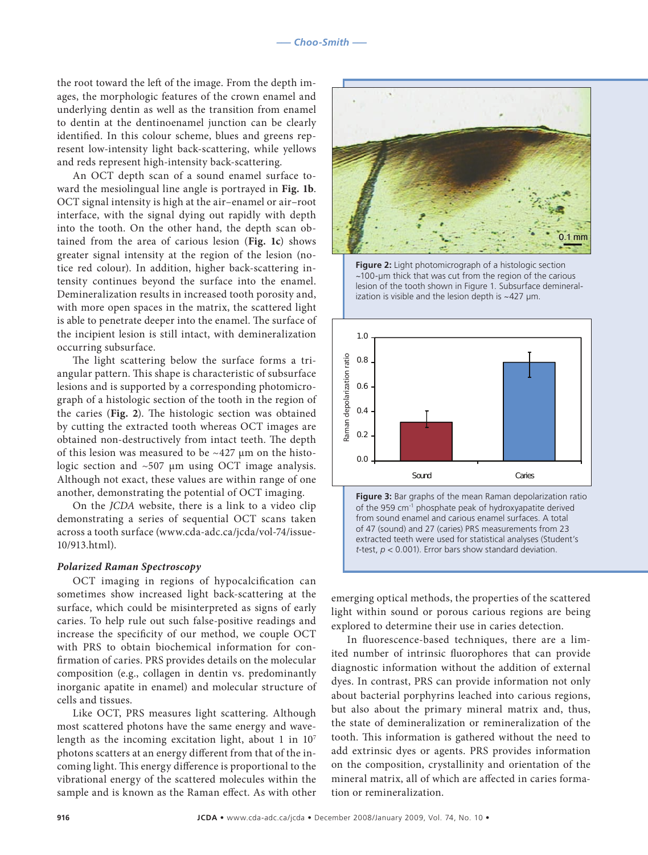the root toward the left of the image. From the depth images, the morphologic features of the crown enamel and underlying dentin as well as the transition from enamel to dentin at the dentinoenamel junction can be clearly identified. In this colour scheme, blues and greens represent low-intensity light back-scattering, while yellows and reds represent high-intensity back-scattering.

An OCT depth scan of a sound enamel surface toward the mesiolingual line angle is portrayed in **Fig. 1b**. OCT signal intensity is high at the air–enamel or air–root interface, with the signal dying out rapidly with depth into the tooth. On the other hand, the depth scan obtained from the area of carious lesion (**Fig. 1c**) shows greater signal intensity at the region of the lesion (notice red colour). In addition, higher back-scattering intensity continues beyond the surface into the enamel. Demineralization results in increased tooth porosity and, with more open spaces in the matrix, the scattered light is able to penetrate deeper into the enamel. The surface of the incipient lesion is still intact, with demineralization occurring subsurface.

The light scattering below the surface forms a triangular pattern. This shape is characteristic of subsurface lesions and is supported by a corresponding photomicrograph of a histologic section of the tooth in the region of the caries (**Fig. 2**). The histologic section was obtained by cutting the extracted tooth whereas OCT images are obtained non-destructively from intact teeth. The depth of this lesion was measured to be  $\sim$ 427 µm on the histologic section and ~507 μm using OCT image analysis. Although not exact, these values are within range of one another, demonstrating the potential of OCT imaging.

On the *JCDA* website, there is a link to a video clip demonstrating a series of sequential OCT scans taken across a tooth surface (www.cda-adc.ca/jcda/vol-74/issue-10/913.html).

#### *Polarized Raman Spectroscopy*

OCT imaging in regions of hypocalcification can sometimes show increased light back-scattering at the surface, which could be misinterpreted as signs of early caries. To help rule out such false-positive readings and increase the specificity of our method, we couple OCT with PRS to obtain biochemical information for confirmation of caries. PRS provides details on the molecular composition (e.g., collagen in dentin vs. predominantly inorganic apatite in enamel) and molecular structure of cells and tissues.

Like OCT, PRS measures light scattering. Although most scattered photons have the same energy and wavelength as the incoming excitation light, about 1 in 107 photons scatters at an energy different from that of the incoming light. This energy difference is proportional to the vibrational energy of the scattered molecules within the sample and is known as the Raman effect. As with other



**Figure 2:** Light photomicrograph of a histologic section ~100-µm thick that was cut from the region of the carious lesion of the tooth shown in Figure 1. Subsurface demineralization is visible and the lesion depth is  $\sim$  427  $\mu$ m.



**Figure 3:** Bar graphs of the mean Raman depolarization ratio of the 959 cm<sup>-1</sup> phosphate peak of hydroxyapatite derived from sound enamel and carious enamel surfaces. A total of 47 (sound) and 27 (caries) PRS measurements from 23 extracted teeth were used for statistical analyses (Student's *t*-test, *p* < 0.001). Error bars show standard deviation.

emerging optical methods, the properties of the scattered light within sound or porous carious regions are being explored to determine their use in caries detection.

In fluorescence-based techniques, there are a limited number of intrinsic fluorophores that can provide diagnostic information without the addition of external dyes. In contrast, PRS can provide information not only about bacterial porphyrins leached into carious regions, but also about the primary mineral matrix and, thus, the state of demineralization or remineralization of the tooth. This information is gathered without the need to add extrinsic dyes or agents. PRS provides information on the composition, crystallinity and orientation of the mineral matrix, all of which are affected in caries formation or remineralization.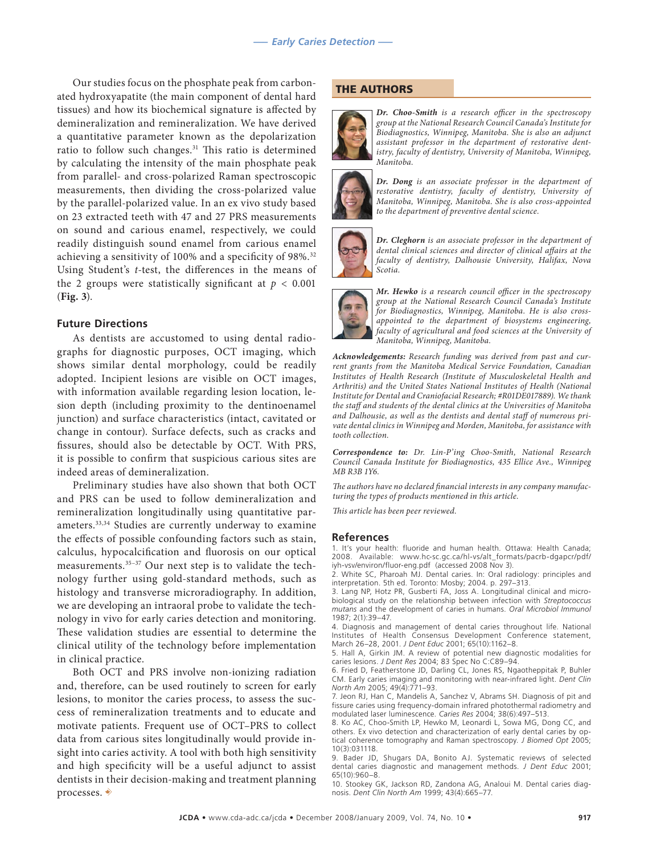Our studies focus on the phosphate peak from carbonated hydroxyapatite (the main component of dental hard tissues) and how its biochemical signature is affected by demineralization and remineralization. We have derived a quantitative parameter known as the depolarization ratio to follow such changes.<sup>31</sup> This ratio is determined by calculating the intensity of the main phosphate peak from parallel- and cross-polarized Raman spectroscopic measurements, then dividing the cross-polarized value by the parallel-polarized value. In an ex vivo study based on 23 extracted teeth with 47 and 27 PRS measurements on sound and carious enamel, respectively, we could readily distinguish sound enamel from carious enamel achieving a sensitivity of 100% and a specificity of 98%.32 Using Student's *t*-test, the differences in the means of the 2 groups were statistically significant at  $p < 0.001$ (**Fig. 3**).

#### **Future Directions**

As dentists are accustomed to using dental radiographs for diagnostic purposes, OCT imaging, which shows similar dental morphology, could be readily adopted. Incipient lesions are visible on OCT images, with information available regarding lesion location, lesion depth (including proximity to the dentinoenamel junction) and surface characteristics (intact, cavitated or change in contour). Surface defects, such as cracks and fissures, should also be detectable by OCT. With PRS, it is possible to confirm that suspicious carious sites are indeed areas of demineralization.

Preliminary studies have also shown that both OCT and PRS can be used to follow demineralization and remineralization longitudinally using quantitative parameters.33,34 Studies are currently underway to examine the effects of possible confounding factors such as stain, calculus, hypocalcification and fluorosis on our optical measurements.35–37 Our next step is to validate the technology further using gold-standard methods, such as histology and transverse microradiography. In addition, we are developing an intraoral probe to validate the technology in vivo for early caries detection and monitoring. These validation studies are essential to determine the clinical utility of the technology before implementation in clinical practice.

Both OCT and PRS involve non-ionizing radiation and, therefore, can be used routinely to screen for early lesions, to monitor the caries process, to assess the success of remineralization treatments and to educate and motivate patients. Frequent use of OCT–PRS to collect data from carious sites longitudinally would provide insight into caries activity. A tool with both high sensitivity and high specificity will be a useful adjunct to assist dentists in their decision-making and treatment planning processes.  $\rightarrow$ 

#### THE AUTHORS



*Dr. Choo-Smith is a research officer in the spectroscopy group at the National Research Council Canada's Institute for Biodiagnostics, Winnipeg, Manitoba. She is also an adjunct assistant professor in the department of restorative dentistry, faculty of dentistry, University of Manitoba, Winnipeg, Manitoba.*



*Dr. Dong is an associate professor in the department of restorative dentistry, faculty of dentistry, University of Manitoba, Winnipeg, Manitoba. She is also cross-appointed to the department of preventive dental science.*



*Dr. Cleghorn is an associate professor in the department of dental clinical sciences and director of clinical affairs at the faculty of dentistry, Dalhousie University, Halifax, Nova Scotia.*



*Mr. Hewko is a research council officer in the spectroscopy group at the National Research Council Canada's Institute for Biodiagnostics, Winnipeg, Manitoba. He is also crossappointed to the department of biosystems engineering, faculty of agricultural and food sciences at the University of Manitoba, Winnipeg, Manitoba.*

*Acknowledgements: Research funding was derived from past and current grants from the Manitoba Medical Service Foundation, Canadian Institutes of Health Research (Institute of Musculoskeletal Health and Arthritis) and the United States National Institutes of Health (National Institute for Dental and Craniofacial Research; #R01DE017889). We thank the staff and students of the dental clinics at the Universities of Manitoba and Dalhousie, as well as the dentists and dental staff of numerous private dental clinics in Winnipeg and Morden, Manitoba, for assistance with tooth collection.*

*Correspondence to: Dr. Lin-P'ing Choo-Smith, National Research Council Canada Institute for Biodiagnostics, 435 Ellice Ave., Winnipeg MB R3B 1Y6.*

*The authors have no declared financial interests in any company manufacturing the types of products mentioned in this article.*

*This article has been peer reviewed.*

#### **References**

1. It's your health: fluoride and human health. Ottawa: Health Canada; 2008. Available: www.hc-sc.gc.ca/hl-vs/alt\_formats/pacrb-dgapcr/pdf/ iyh-vsv/environ/fluor-eng.pdf (accessed 2008 Nov 3).

2. White SC, Pharoah MJ. Dental caries. In: Oral radiology: principles and interpretation. 5th ed. Toronto: Mosby; 2004. p. 297–313.

3. Lang NP, Hotz PR, Gusberti FA, Joss A. Longitudinal clinical and microbiological study on the relationship between infection with *Streptococcus mutans* and the development of caries in humans. *Oral Microbiol Immunol*  1987; 2(1):39–47.

4. Diagnosis and management of dental caries throughout life. National Institutes of Health Consensus Development Conference statement, March 26–28, 2001. *J Dent Educ* 2001; 65(10):1162–8.

5. Hall A, Girkin JM. A review of potential new diagnostic modalities for caries lesions. *J Dent Res* 2004; 83 Spec No C:C89–94.

6. Fried D, Featherstone JD, Darling CL, Jones RS, Ngaotheppitak P, Buhler CM. Early caries imaging and monitoring with near-infrared light. *Dent Clin North Am* 2005; 49(4):771–93.

7. Jeon RJ, Han C, Mandelis A, Sanchez V, Abrams SH. Diagnosis of pit and fissure caries using frequency-domain infrared photothermal radiometry and modulated laser luminescence. *Caries Res* 2004; 38(6):497–513.

8. Ko AC, Choo-Smith LP, Hewko M, Leonardi L, Sowa MG, Dong CC, and others. Ex vivo detection and characterization of early dental caries by optical coherence tomography and Raman spectroscopy. *J Biomed Opt* 2005; 10(3):031118.

9. Bader JD, Shugars DA, Bonito AJ. Systematic reviews of selected dental caries diagnostic and management methods. *J Dent Educ* 2001; 65(10):960–8.

10. Stookey GK, Jackson RD, Zandona AG, Analoui M. Dental caries diagnosis. *Dent Clin North Am* 1999; 43(4):665–77.